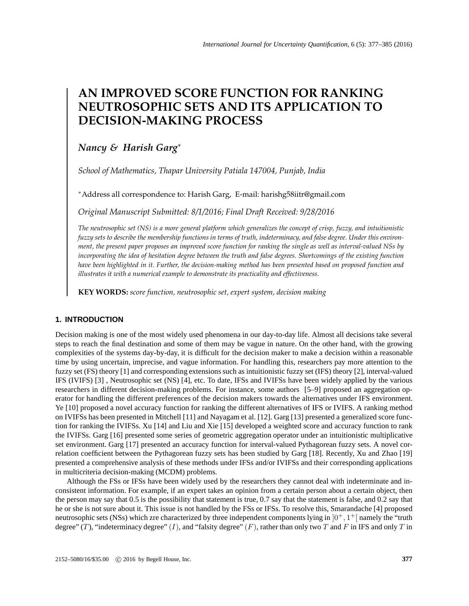# **AN IMPROVED SCORE FUNCTION FOR RANKING NEUTROSOPHIC SETS AND ITS APPLICATION TO DECISION-MAKING PROCESS**

# *Nancy & Harish Garg*<sup>∗</sup>

*School of Mathematics, Thapar University Patiala 147004, Punjab, India*

<sup>∗</sup>Address all correspondence to: Harish Garg, E-mail: harishg58iitr@gmail.com

*Original Manuscript Submitted: 8/1/2016; Final Draft Received: 9/28/2016*

*The neutrosophic set (NS) is a more general platform which generalizes the concept of crisp, fuzzy, and intuitionistic fuzzy sets to describe the membership functions in terms of truth, indeterminacy, and false degree. Under this environment, the present paper proposes an improved score function for ranking the single as well as interval-valued NSs by incorporating the idea of hesitation degree between the truth and false degrees. Shortcomings of the existing function have been highlighted in it. Further, the decision-making method has been presented based on proposed function and illustrates it with a numerical example to demonstrate its practicality and effectiveness.*

**KEY WORDS:** *score function, neutrosophic set, expert system, decision making*

# **1. INTRODUCTION**

Decision making is one of the most widely used phenomena in our day-to-day life. Almost all decisions take several steps to reach the final destination and some of them may be vague in nature. On the other hand, with the growing complexities of the systems day-by-day, it is difficult for the decision maker to make a decision within a reasonable time by using uncertain, imprecise, and vague information. For handling this, researchers pay more attention to the fuzzy set (FS) theory [1] and corresponding extensions such as intuitionistic fuzzy set (IFS) theory [2], interval-valued IFS (IVIFS) [3] , Neutrosophic set (NS) [4], etc. To date, IFSs and IVIFSs have been widely applied by the various researchers in different decision-making problems. For instance, some authors [5–9] proposed an aggregation operator for handling the different preferences of the decision makers towards the alternatives under IFS environment. Ye [10] proposed a novel accuracy function for ranking the different alternatives of IFS or IVIFS. A ranking method on IVIFSs has been presented in Mitchell [11] and Nayagam et al. [12]. Garg [13] presented a generalized score function for ranking the IVIFSs. Xu [14] and Liu and Xie [15] developed a weighted score and accuracy function to rank the IVIFSs. Garg [16] presented some series of geometric aggregation operator under an intuitionistic multiplicative set environment. Garg [17] presented an accuracy function for interval-valued Pythagorean fuzzy sets. A novel correlation coefficient between the Pythagorean fuzzy sets has been studied by Garg [18]. Recently, Xu and Zhao [19] presented a comprehensive analysis of these methods under IFSs and/or IVIFSs and their corresponding applications in multicriteria decision-making (MCDM) problems.

Although the FSs or IFSs have been widely used by the researchers they cannot deal with indeterminate and inconsistent information. For example, if an expert takes an opinion from a certain person about a certain object, then the person may say that 0.5 is the possibility that statement is true, 0.7 say that the statement is false, and 0.2 say that he or she is not sure about it. This issue is not handled by the FSs or IFSs. To resolve this, Smarandache [4] proposed neutrosophic sets (NSs) which zre characterized by three independent components lying in  $]0^+, 1^+$  namely the "truth degree" (T), "indeterminacy degree" (I), and "falsity degree"  $(F)$ , rather than only two T and F in IFS and only T in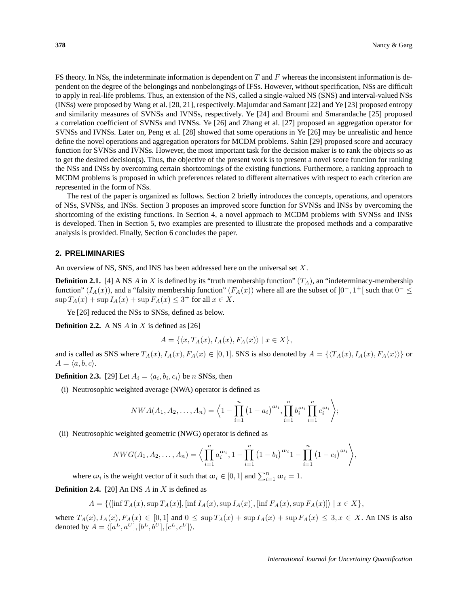FS theory. In NSs, the indeterminate information is dependent on  $T$  and  $F$  whereas the inconsistent information is dependent on the degree of the belongings and nonbelongings of IFSs. However, without specification, NSs are difficult to apply in real-life problems. Thus, an extension of the NS, called a single-valued NS (SNS) and interval-valued NSs (INSs) were proposed by Wang et al. [20, 21], respectively. Majumdar and Samant [22] and Ye [23] proposed entropy and similarity measures of SVNSs and IVNSs, respectively. Ye [24] and Broumi and Smarandache [25] proposed a correlation coefficient of SVNSs and IVNSs. Ye [26] and Zhang et al. [27] proposed an aggregation operator for SVNSs and IVNSs. Later on, Peng et al. [28] showed that some operations in Ye [26] may be unrealistic and hence define the novel operations and aggregation operators for MCDM problems. Sahin [29] proposed score and accuracy function for SVNSs and IVNSs. However, the most important task for the decision maker is to rank the objects so as to get the desired decision(s). Thus, the objective of the present work is to present a novel score function for ranking the NSs and INSs by overcoming certain shortcomings of the existing functions. Furthermore, a ranking approach to MCDM problems is proposed in which preferences related to different alternatives with respect to each criterion are represented in the form of NSs.

The rest of the paper is organized as follows. Section 2 briefly introduces the concepts, operations, and operators of NSs, SVNSs, and INSs. Section 3 proposes an improved score function for SVNSs and INSs by overcoming the shortcoming of the existing functions. In Section 4, a novel approach to MCDM problems with SVNSs and INSs is developed. Then in Section 5, two examples are presented to illustrate the proposed methods and a comparative analysis is provided. Finally, Section 6 concludes the paper.

## **2. PRELIMINARIES**

An overview of NS, SNS, and INS has been addressed here on the universal set X.

**Definition 2.1.** [4] A NS A in X is defined by its "truth membership function"  $(T_A)$ , an "indeterminacy-membership function"  $(I_A(x))$ , and a "falsity membership function"  $(F_A(x))$  where all are the subset of  $]0^-, 1^+$  such that  $0^- \le$  $\sup T_A(x) + \sup I_A(x) + \sup F_A(x) \leq 3^+$  for all  $x \in X$ .

Ye [26] reduced the NSs to SNSs, defined as below.

**Definition 2.2.** A NS  $\vec{A}$  in  $\vec{X}$  is defined as [26]

$$
A = \{ \langle x, T_A(x), I_A(x), F_A(x) \rangle \mid x \in X \},\
$$

and is called as SNS where  $T_A(x)$ ,  $I_A(x)$ ,  $F_A(x) \in [0, 1]$ . SNS is also denoted by  $A = \{T_A(x), I_A(x), F_A(x)\}$  or  $A = \langle a, b, c \rangle$ .

**Definition 2.3.** [29] Let  $A_i = \langle a_i, b_i, c_i \rangle$  be n SNSs, then

(i) Neutrosophic weighted average (NWA) operator is defined as

$$
NWA(A_1, A_2,..., A_n) = \left\langle 1 - \prod_{i=1}^n (1 - a_i)^{\omega_i}, \prod_{i=1}^n b_i^{\omega_i} \prod_{i=1}^n c_i^{\omega_i} \right\rangle;
$$

(ii) Neutrosophic weighted geometric (NWG) operator is defined as

$$
NWG(A_1, A_2,..., A_n) = \Big\langle \prod_{i=1}^n a_i^{\omega_i}, 1 - \prod_{i=1}^n (1 - b_i)^{\omega_i} 1 - \prod_{i=1}^n (1 - c_i)^{\omega_i} \Big\rangle,
$$

where  $\omega_i$  is the weight vector of it such that  $\omega_i \in [0,1]$  and  $\sum_{i=1}^n \omega_i = 1$ .

**Definition 2.4.** [20] An INS  $\overline{A}$  in  $\overline{X}$  is defined as

$$
A = \{ \langle \left[ \inf T_A(x), \sup T_A(x) \right], \left[ \inf I_A(x), \sup I_A(x) \right], \left[ \inf F_A(x), \sup F_A(x) \right] \rangle \mid x \in X \},\
$$

where  $T_A(x)$ ,  $I_A(x)$ ,  $F_A(x) \in [0,1]$  and  $0 \leq \sup T_A(x) + \sup I_A(x) + \sup F_A(x) \leq 3, x \in X$ . An INS is also denoted by  $A = \langle [a^L, a^U], [b^L, b^U], [c^L, c^U] \rangle.$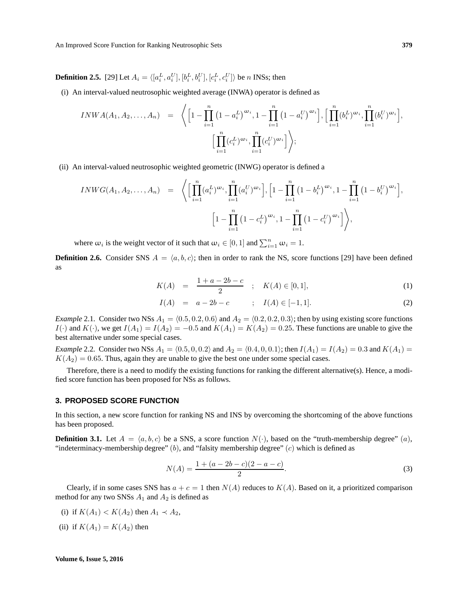**Definition 2.5.** [29] Let  $A_i = \langle [a_i^L, a_i^U], [b_i^L, b_i^U], [c_i^L, c_i^U] \rangle$  be n INSs; then

(i) An interval-valued neutrosophic weighted average (INWA) operator is defined as

$$
INWA(A_1, A_2,..., A_n) = \left\langle \left[1 - \prod_{i=1}^n (1 - a_i^L)^{\omega_i}, 1 - \prod_{i=1}^n (1 - a_i^U)^{\omega_i} \right], \left[\prod_{i=1}^n (b_i^L)^{\omega_i}, \prod_{i=1}^n (b_i^U)^{\omega_i} \right], \left[\prod_{i=1}^n (b_i^L)^{\omega_i}, \prod_{i=1}^n (c_i^U)^{\omega_i}, \prod_{i=1}^n (c_i^U)^{\omega_i} \right] \right\rangle;
$$

(ii) An interval-valued neutrosophic weighted geometric (INWG) operator is defined a

$$
INWG(A_1, A_2, ..., A_n) = \left\langle \left[ \prod_{i=1}^n (a_i^L)^{\omega_i}, \prod_{i=1}^n (a_i^U)^{\omega_i} \right], \left[ 1 - \prod_{i=1}^n (1 - b_i^L)^{\omega_i}, 1 - \prod_{i=1}^n (1 - b_i^U)^{\omega_i} \right], \left[ 1 - \prod_{i=1}^n (1 - c_i^L)^{\omega_i}, 1 - \prod_{i=1}^n (1 - c_i^U)^{\omega_i} \right] \right\rangle,
$$

where  $\omega_i$  is the weight vector of it such that  $\omega_i \in [0,1]$  and  $\sum_{i=1}^n \omega_i = 1$ .

**Definition 2.6.** Consider SNS  $A = \langle a, b, c \rangle$ ; then in order to rank the NS, score functions [29] have been defined as

$$
K(A) = \frac{1 + a - 2b - c}{2} \quad ; \quad K(A) \in [0, 1], \tag{1}
$$

$$
I(A) = a - 2b - c \qquad ; \quad I(A) \in [-1, 1]. \tag{2}
$$

*Example* 2.1. Consider two NSs  $A_1 = (0.5, 0.2, 0.6)$  and  $A_2 = (0.2, 0.2, 0.3)$ ; then by using existing score functions  $I(\cdot)$  and  $K(\cdot)$ , we get  $I(A_1) = I(A_2) = -0.5$  and  $K(A_1) = K(A_2) = 0.25$ . These functions are unable to give the best alternative under some special cases.

*Example* 2.2. Consider two NSs  $A_1 = (0.5, 0, 0.2)$  and  $A_2 = (0.4, 0, 0.1)$ ; then  $I(A_1) = I(A_2) = 0.3$  and  $K(A_1) =$  $K(A_2) = 0.65$ . Thus, again they are unable to give the best one under some special cases.

Therefore, there is a need to modify the existing functions for ranking the different alternative(s). Hence, a modified score function has been proposed for NSs as follows.

## **3. PROPOSED SCORE FUNCTION**

In this section, a new score function for ranking NS and INS by overcoming the shortcoming of the above functions has been proposed.

**Definition 3.1.** Let  $A = \langle a, b, c \rangle$  be a SNS, a score function  $N(\cdot)$ , based on the "truth-membership degree" (a), "indeterminacy-membership degree"  $(b)$ , and "falsity membership degree"  $(c)$  which is defined as

$$
N(A) = \frac{1 + (a - 2b - c)(2 - a - c)}{2}.
$$
\n(3)

Clearly, if in some cases SNS has  $a + c = 1$  then  $N(A)$  reduces to  $K(A)$ . Based on it, a prioritized comparison method for any two SNSs  $A_1$  and  $A_2$  is defined as

- (i) if  $K(A_1) < K(A_2)$  then  $A_1 \prec A_2$ ,
- (ii) if  $K(A_1) = K(A_2)$  then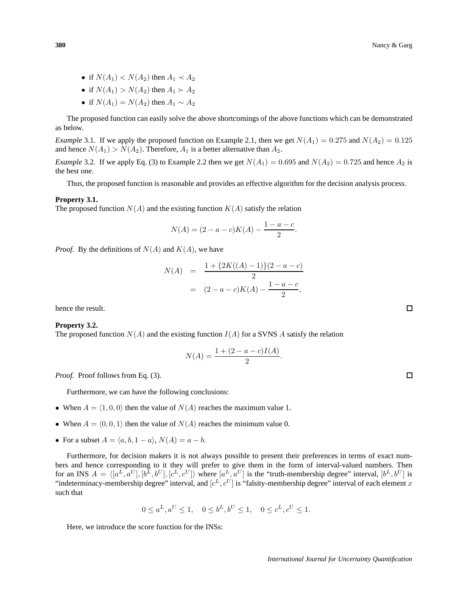- if  $N(A_1) < N(A_2)$  then  $A_1 \prec A_2$
- if  $N(A_1) > N(A_2)$  then  $A_1 > A_2$
- if  $N(A_1) = N(A_2)$  then  $A_1 \sim A_2$

The proposed function can easily solve the above shortcomings of the above functions which can be demonstrated as below.

*Example* 3.1. If we apply the proposed function on Example 2.1, then we get  $N(A_1) = 0.275$  and  $N(A_2) = 0.125$ and hence  $N(A_1) > N(A_2)$ . Therefore,  $A_1$  is a better alternative than  $A_2$ .

*Example* 3.2. If we apply Eq. (3) to Example 2.2 then we get  $N(A_1) = 0.695$  and  $N(A_2) = 0.725$  and hence  $A_2$  is the best one.

Thus, the proposed function is reasonable and provides an effective algorithm for the decision analysis process.

#### **Property 3.1.**

The proposed function  $N(A)$  and the existing function  $K(A)$  satisfy the relation

$$
N(A) = (2 - a - c)K(A) - \frac{1 - a - c}{2}.
$$

*Proof.* By the definitions of  $N(A)$  and  $K(A)$ , we have

$$
N(A) = \frac{1 + \{2K((A) - 1)\}(2 - a - c)}{2}
$$
  
= 
$$
(2 - a - c)K(A) - \frac{1 - a - c}{2},
$$

hence the result.

#### **Property 3.2.**

The proposed function  $N(A)$  and the existing function  $I(A)$  for a SVNS A satisfy the relation

$$
N(A) = \frac{1 + (2 - a - c)I(A)}{2}.
$$

*Proof.* Proof follows from Eq. (3).

Furthermore, we can have the following conclusions:

- When  $A = \langle 1, 0, 0 \rangle$  then the value of  $N(A)$  reaches the maximum value 1.
- When  $A = \langle 0, 0, 1 \rangle$  then the value of  $N(A)$  reaches the minimum value 0.
- For a subset  $A = \langle a, b, 1 a \rangle$ ,  $N(A) = a b$ .

Furthermore, for decision makers it is not always possible to present their preferences in terms of exact numbers and hence corresponding to it they will prefer to give them in the form of interval-valued numbers. Then for an INS  $A = \langle [a^L, a^U], [b^L, b^U], [c^L, c^U] \rangle$  where  $[a^L, a^U]$  is the "truth-membership degree" interval,  $[b^L, b^U]$  is "indeterminacy-membership degree" interval, and  $[c^L, c^U]$  is "falsity-membership degree" interval of each element x such that

$$
0 \le a^L, a^U \le 1, \quad 0 \le b^L, b^U \le 1, \quad 0 \le c^L, c^U \le 1.
$$

Here, we introduce the score function for the INSs:

 $\Box$ 

 $\Box$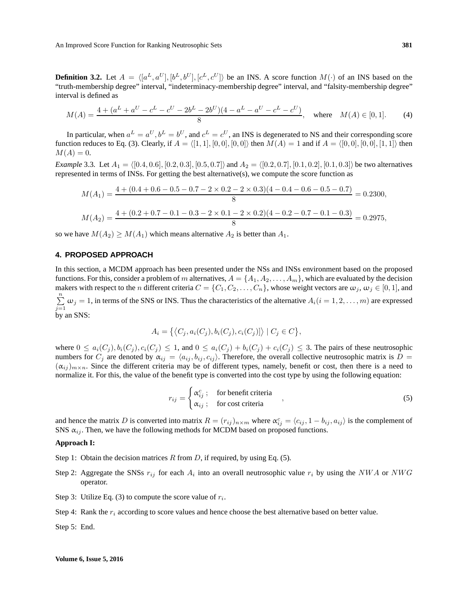**Definition 3.2.** Let  $A = \langle [a^L, a^U], [b^L, b^U], [c^L, c^U] \rangle$  be an INS. A score function  $M(\cdot)$  of an INS based on the "truth-membership degree" interval, "indeterminacy-membership degree" interval, and "falsity-membership degree" interval is defined as

$$
M(A) = \frac{4 + (a^L + a^U - c^L - c^U - 2b^L - 2b^U)(4 - a^L - a^U - c^L - c^U)}{8}, \text{ where } M(A) \in [0, 1].
$$
 (4)

In particular, when  $a^L = a^U, b^L = b^U$ , and  $c^L = c^U$ , an INS is degenerated to NS and their corresponding score function reduces to Eq. (3). Clearly, if  $A = \langle [1, 1], [0, 0], [0, 0] \rangle$  then  $M(A) = 1$  and if  $A = \langle [0, 0], [0, 0], [1, 1] \rangle$  then  $M(A) = 0.$ 

*Example* 3.3. Let  $A_1 = \{(0.4, 0.6], [0.2, 0.3], [0.5, 0.7]\}$  and  $A_2 = \{(0.2, 0.7], [0.1, 0.2], [0.1, 0.3]\}$  be two alternatives represented in terms of INSs. For getting the best alternative(s), we compute the score function as

$$
M(A_1) = \frac{4 + (0.4 + 0.6 - 0.5 - 0.7 - 2 \times 0.2 - 2 \times 0.3)(4 - 0.4 - 0.6 - 0.5 - 0.7)}{8} = 0.2300,
$$
  

$$
M(A_2) = \frac{4 + (0.2 + 0.7 - 0.1 - 0.3 - 2 \times 0.1 - 2 \times 0.2)(4 - 0.2 - 0.7 - 0.1 - 0.3)}{8} = 0.2975,
$$

so we have  $M(A_2) \geq M(A_1)$  which means alternative  $A_2$  is better than  $A_1$ .

# **4. PROPOSED APPROACH**

In this section, a MCDM approach has been presented under the NSs and INSs environment based on the proposed functions. For this, consider a problem of m alternatives,  $A = \{A_1, A_2, \ldots, A_m\}$ , which are evaluated by the decision makers with respect to the n different criteria  $C = \{C_1, C_2, \ldots, C_n\}$ , whose weight vectors are  $\omega_j, \omega_j \in [0, 1]$ , and  $\sum_{j=1}^{n} \omega_j = 1$ , in terms of the SNS or INS. Thus the characteristics of the alternative  $A_i(i = 1, 2, ..., m)$  are expressed by an SNS:

$$
A_i = \left\{ \left\langle C_j, a_i(C_j), b_i(C_j), c_i(C_j) \right\} \middle| C_j \in C \right\},\
$$

where  $0 \le a_i(C_j), b_i(C_j), c_i(C_j) \le 1$ , and  $0 \le a_i(C_j) + b_i(C_j) + c_i(C_j) \le 3$ . The pairs of these neutrosophic numbers for  $C_j$  are denoted by  $\alpha_{ij} = \langle a_{ij}, b_{ij}, c_{ij} \rangle$ . Therefore, the overall collective neutrosophic matrix is  $D =$  $(\alpha_{ij})_{m \times n}$ . Since the different criteria may be of different types, namely, benefit or cost, then there is a need to normalize it. For this, the value of the benefit type is converted into the cost type by using the following equation:

$$
r_{ij} = \begin{cases} \alpha_{ij}^c; & \text{for benefit criteria} \\ \alpha_{ij}; & \text{for cost criteria} \end{cases}
$$
\n(5)

and hence the matrix D is converted into matrix  $R = (r_{ij})_{n \times m}$  where  $\alpha_{ij}^c = \langle c_{ij}, 1 - b_{ij}, a_{ij} \rangle$  is the complement of SNS  $\alpha_{ij}$ . Then, we have the following methods for MCDM based on proposed functions.

# **Approach I:**

- Step 1: Obtain the decision matrices  $R$  from  $D$ , if required, by using Eq. (5).
- Step 2: Aggregate the SNSs  $r_{ij}$  for each  $A_i$  into an overall neutrosophic value  $r_i$  by using the NWA or NWG operator.
- Step 3: Utilize Eq. (3) to compute the score value of  $r_i$ .
- Step 4: Rank the  $r_i$  according to score values and hence choose the best alternative based on better value.

Step 5: End.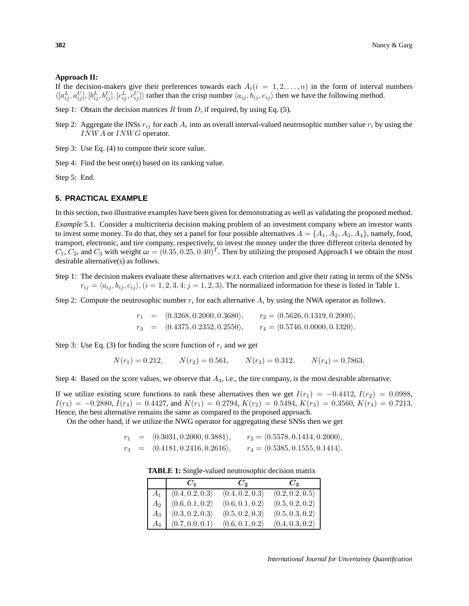# **Approach II:**

If the decision-makers give their preferences towards each  $A_i(i = 1, 2, \ldots, n)$  in the form of interval numbers  $\langle [a_{ij}^L, a_{ij}^U], [b_{ij}^L, b_{ij}^U], [c_{ij}^L, c_{ij}^U] \rangle$  rather than the crisp number  $\langle a_{ij}, b_{ij}, c_{ij} \rangle$  then we have the following method.

- Step 1: Obtain the decision matrices  $R$  from  $D$ , if required, by using Eq. (5).
- Step 2: Aggregate the INSs  $r_{ij}$  for each  $A_i$  into an overall interval-valued neutrosophic number value  $r_i$  by using the INWA or INWG operator.
- Step 3: Use Eq. (4) to compute their score value.
- Step 4: Find the best one(s) based on its ranking value.

Step 5: End.

# **5. PRACTICAL EXAMPLE**

In this section, two illustrative examples have been given for demonstrating as well as validating the proposed method.

*Example* 5.1*.* Consider a multicriteria decision making problem of an investment company where an investor wants to invest some money. To do that, they set a panel for four possible alternatives  $A = \{A_1, A_2, A_3, A_4\}$ , namely, food, transport, electronic, and tire company, respectively, to invest the money under the three different criteria denoted by  $C_1, C_2$ , and  $C_3$  with weight  $\omega = (0.35, 0.25, 0.40)^T$ . Then by utilizing the proposed Approach I we obtain the most desirable alternative(s) as follows.

Step 1: The decision makers evaluate these alternatives w.r.t. each criterion and give their rating in terms of the SNSs  $r_{ij} = \langle a_{ij}, b_{ij}, c_{ij} \rangle$ ,  $(i = 1, 2, 3, 4; j = 1, 2, 3)$ . The normalized information for these is listed in Table 1.

Step 2: Compute the neutrosophic number  $r_i$  for each alternative  $A_i$  by using the NWA operator as follows.

$$
r_1 = \langle 0.3268, 0.2000, 0.3680 \rangle, \qquad r_2 = \langle 0.5626, 0.1319, 0.2000 \rangle,
$$
  

$$
r_3 = \langle 0.4375, 0.2352, 0.2550 \rangle, \qquad r_4 = \langle 0.5746, 0.0000, 0.1320 \rangle.
$$

Step 3: Use Eq. (3) for finding the score function of  $r_i$  and we get

 $N(r_1) = 0.212$ ,  $N(r_2) = 0.561$ ,  $N(r_3) = 0.312$ ,  $N(r_4) = 0.7863$ .

Step 4: Based on the score values, we observe that  $A_4$ , i.e., the tire company, is the most desirable alternative.

If we utilize existing score functions to rank these alternatives then we get  $I(r_1) = -0.4412$ ,  $I(r_2) = 0.0988$ ,  $I(r_3) = -0.2880, I(r_4) = 0.4427,$  and  $K(r_1) = 0.2794, K(r_2) = 0.5494, K(r_3) = 0.3560, K(r_4) = 0.7213.$ Hence, the best alternative remains the same as compared to the proposed approach.

On the other hand, if we utilize the NWG operator for aggregating these SNSs then we get

 $r_1$  =  $\langle 0.3031, 0.2000, 0.3881 \rangle$ ,  $r_2 = \langle 0.5578, 0.1414, 0.2000 \rangle$ ,  $r_3 = \langle 0.4181, 0.2416, 0.2616 \rangle, \quad r_4 = \langle 0.5385, 0.1555, 0.1414 \rangle,$ 

**TABLE 1:** Single-valued neutrosophic decision matrix

|       | $C_1$                                 | $C_2$                           | $C_{\mathbf{S}}$                |
|-------|---------------------------------------|---------------------------------|---------------------------------|
|       | $A_1   \langle 0.4, 0.2, 0.3 \rangle$ | $\langle 0.4, 0.2, 0.3 \rangle$ | $\langle 0.2, 0.2, 0.5 \rangle$ |
| $A_2$ | $\langle 0.6, 0.1, 0.2 \rangle$       | $\langle 0.6, 0.1, 0.2 \rangle$ | $\langle 0.5, 0.2, 0.2 \rangle$ |
| $A_3$ | $\langle 0.3, 0.2, 0.3 \rangle$       | $\langle 0.5, 0.2, 0.3 \rangle$ | $\langle 0.5, 0.3, 0.2 \rangle$ |
| $A_4$ | $\langle 0.7, 0.0, 0.1 \rangle$       | $\langle 0.6, 0.1, 0.2 \rangle$ | $\langle 0.4, 0.3, 0.2 \rangle$ |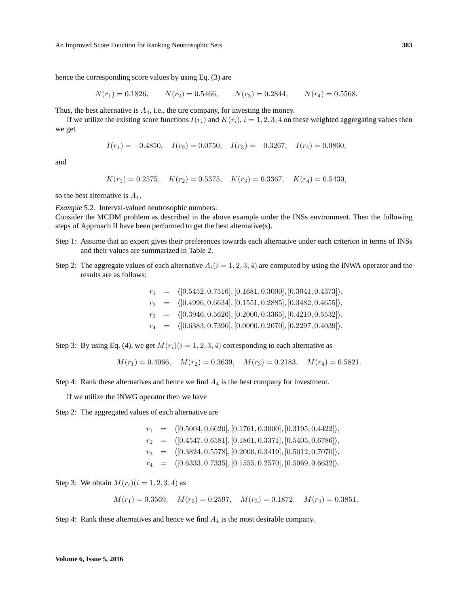hence the corresponding score values by using Eq. (3) are

$$
N(r_1) = 0.1826,
$$
  $N(r_2) = 0.5466,$   $N(r_3) = 0.2844,$   $N(r_4) = 0.5568.$ 

Thus, the best alternative is  $A_4$ , i.e., the tire company, for investing the money.

If we utilize the existing score functions  $I(r_i)$  and  $K(r_i)$ ,  $i = 1, 2, 3, 4$  on these weighted aggregating values then we get

$$
I(r_1) = -0.4850
$$
,  $I(r_2) = 0.0750$ ,  $I(r_3) = -0.3267$ ,  $I(r_4) = 0.0860$ ,

and

 $K(r_1) = 0.2575$ ,  $K(r_2) = 0.5375$ ,  $K(r_3) = 0.3367$ ,  $K(r_4) = 0.5430$ ,

so the best alternative is  $A_4$ .

*Example* 5.2*.* Interval-valued neutrosophic numbers: Consider the MCDM problem as described in the above example under the INSs environment. Then the following steps of Approach II have been performed to get the best alternative(s).

- Step 1: Assume that an expert gives their preferences towards each alternative under each criterion in terms of INSs and their values are summarized in Table 2.
- Step 2: The aggregate values of each alternative  $A_i(i = 1, 2, 3, 4)$  are computed by using the INWA operator and the results are as follows:

 $r_1$  =  $\langle [0.5452, 0.7516], [0.1681, 0.3000], [0.3041, 0.4373] \rangle,$  $r_2 = \langle [0.4996, 0.6634], [0.1551, 0.2885], [0.3482, 0.4655] \rangle,$  $r_3 = \langle [0.3946, 0.5626], [0.2000, 0.3365], [0.4210, 0.5532] \rangle,$  $r_4 = \langle [0.6383, 0.7396], [0.0000, 0.2070], [0.2297, 0.4039] \rangle.$ 

Step 3: By using Eq. (4), we get  $M(r_i)(i = 1, 2, 3, 4)$  corresponding to each alternative as

$$
M(r_1) = 0.4066
$$
,  $M(r_2) = 0.3639$ ,  $M(r_3) = 0.2183$ ,  $M(r_4) = 0.5821$ .

Step 4: Rank these alternatives and hence we find  $A_4$  is the best company for investment.

If we utilize the INWG operator then we have

Step 2: The aggregated values of each alternative are

|  | $r_1 = \langle [0.5004, 0.6620], [0.1761, 0.3000], [0.3195, 0.4422] \rangle,$ |
|--|-------------------------------------------------------------------------------|
|  | $r_2 = \langle [0.4547, 0.6581], [0.1861, 0.3371], [0.5405, 0.6786] \rangle,$ |
|  | $r_3 = \langle [0.3824, 0.5578], [0.2000, 0.3419], [0.5012, 0.7070] \rangle,$ |
|  | $r_4 = \langle [0.6333, 0.7335], [0.1555, 0.2570], [0.5069, 0.6632] \rangle.$ |

Step 3: We obtain  $M(r_i)$   $(i = 1, 2, 3, 4)$  as

$$
M(r_1) = 0.3569
$$
,  $M(r_2) = 0.2597$ ,  $M(r_3) = 0.1872$ ,  $M(r_4) = 0.3851$ .

Step 4: Rank these alternatives and hence we find  $A_4$  is the most desirable company.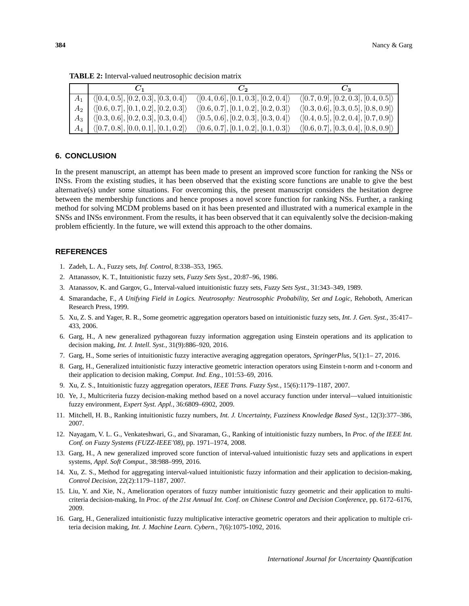| $C_{1}$                                                      | $\mathcal{C}^{\mathcal{L}}$                          | $C_2$                                                |
|--------------------------------------------------------------|------------------------------------------------------|------------------------------------------------------|
| $A_1$ ([0.4, 0.5], [0.2, 0.3], [0.3, 0.4])                   | $\langle [0.4, 0.6], [0.1, 0.3], [0.2, 0.4] \rangle$ | $\langle [0.7, 0.9], [0.2, 0.3], [0.4, 0.5] \rangle$ |
| $A_2$ $\langle [0.6, 0.7], [0.1, 0.2], [0.2, 0.3] \rangle$   | $\langle [0.6, 0.7], [0.1, 0.2], [0.2, 0.3] \rangle$ | $\langle [0.3, 0.6], [0.3, 0.5], [0.8, 0.9] \rangle$ |
| $A_3$   $\langle [0.3, 0.6], [0.2, 0.3], [0.3, 0.4] \rangle$ | $\langle [0.5, 0.6], [0.2, 0.3], [0.3, 0.4] \rangle$ | $\langle [0.4, 0.5], [0.2, 0.4], [0.7, 0.9] \rangle$ |
| $A_4$   $\langle [0.7, 0.8], [0.0, 0.1], [0.1, 0.2] \rangle$ | $\langle [0.6, 0.7], [0.1, 0.2], [0.1, 0.3] \rangle$ | $\langle [0.6, 0.7], [0.3, 0.4], [0.8, 0.9] \rangle$ |

**TABLE 2:** Interval-valued neutrosophic decision matrix

# **6. CONCLUSION**

In the present manuscript, an attempt has been made to present an improved score function for ranking the NSs or INSs. From the existing studies, it has been observed that the existing score functions are unable to give the best alternative(s) under some situations. For overcoming this, the present manuscript considers the hesitation degree between the membership functions and hence proposes a novel score function for ranking NSs. Further, a ranking method for solving MCDM problems based on it has been presented and illustrated with a numerical example in the SNSs and INSs environment. From the results, it has been observed that it can equivalently solve the decision-making problem efficiently. In the future, we will extend this approach to the other domains.

# **REFERENCES**

- 1. Zadeh, L. A., Fuzzy sets, *Inf. Control*, 8:338–353, 1965.
- 2. Attanassov, K. T., Intuitionistic fuzzy sets, *Fuzzy Sets Syst.*, 20:87–96, 1986.
- 3. Atanassov, K. and Gargov, G., Interval-valued intuitionistic fuzzy sets, *Fuzzy Sets Syst.*, 31:343–349, 1989.
- 4. Smarandache, F., *A Unifying Field in Logics. Neutrosophy: Neutrosophic Probability, Set and Logic*, Rehoboth, American Research Press, 1999.
- 5. Xu, Z. S. and Yager, R. R., Some geometric aggregation operators based on intuitionistic fuzzy sets, *Int. J. Gen. Syst.*, 35:417– 433, 2006.
- 6. Garg, H., A new generalized pythagorean fuzzy information aggregation using Einstein operations and its application to decision making, *Int. J. Intell. Syst.*, 31(9):886–920, 2016.
- 7. Garg, H., Some series of intuitionistic fuzzy interactive averaging aggregation operators, *SpringerPlus*, 5(1):1– 27, 2016.
- 8. Garg, H., Generalized intuitionistic fuzzy interactive geometric interaction operators using Einstein t-norm and t-conorm and their application to decision making, *Comput. Ind. Eng.*, 101:53–69, 2016.
- 9. Xu, Z. S., Intuitionistic fuzzy aggregation operators, *IEEE Trans. Fuzzy Syst.*, 15(6):1179–1187, 2007.
- 10. Ye, J., Multicriteria fuzzy decision-making method based on a novel accuracy function under interval—valued intuitionistic fuzzy environment, *Expert Syst. Appl.*, 36:6809–6902, 2009.
- 11. Mitchell, H. B., Ranking intuitionistic fuzzy numbers, *Int. J. Uncertainty, Fuzziness Knowledge Based Syst.*, 12(3):377–386, 2007.
- 12. Nayagam, V. L. G., Venkateshwari, G., and Sivaraman, G., Ranking of intuitionistic fuzzy numbers, In *Proc. of the IEEE Int. Conf. on Fuzzy Systems (FUZZ-IEEE'08)*, pp. 1971–1974, 2008.
- 13. Garg, H., A new generalized improved score function of interval-valued intuitionistic fuzzy sets and applications in expert systems, *Appl. Soft Comput.*, 38:988–999, 2016.
- 14. Xu, Z. S., Method for aggregating interval-valued intuitionistic fuzzy information and their application to decision-making, *Control Decision*, 22(2):1179–1187, 2007.
- 15. Liu, Y. and Xie, N., Amelioration operators of fuzzy number intuitionistic fuzzy geometric and their application to multicriteria decision-making, In *Proc. of the 21st Annual Int. Conf. on Chinese Control and Decision Conference*, pp. 6172–6176, 2009.
- 16. Garg, H., Generalized intuitionistic fuzzy multiplicative interactive geometric operators and their application to multiple criteria decision making, *Int. J. Machine Learn. Cybern.*, 7(6):1075-1092, 2016.